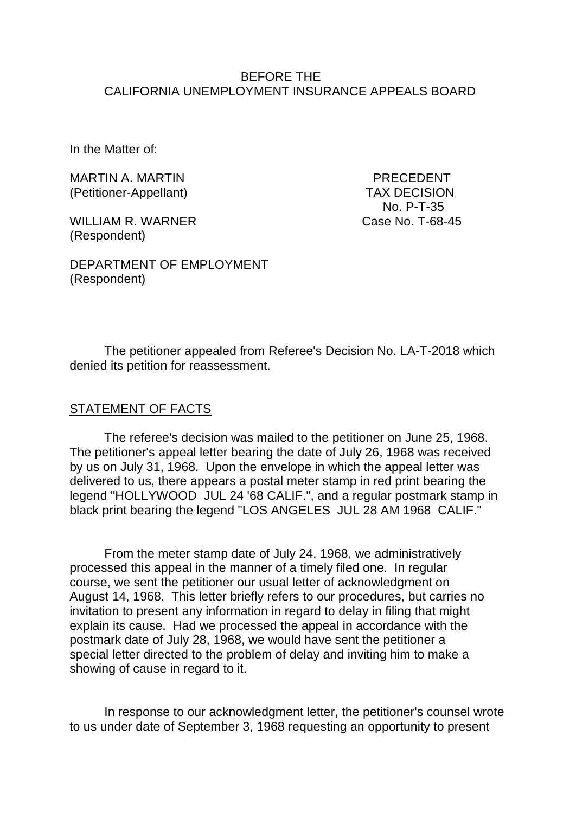### BEFORE THE CALIFORNIA UNEMPLOYMENT INSURANCE APPEALS BOARD

In the Matter of:

MARTIN A. MARTIN **Example 20 YO FAR A PRECEDENT** (Petitioner-Appellant) TAX DECISION

WILLIAM R. WARNER Case No. T-68-45 (Respondent)

No. P-T-35

DEPARTMENT OF EMPLOYMENT (Respondent)

The petitioner appealed from Referee's Decision No. LA-T-2018 which denied its petition for reassessment.

### STATEMENT OF FACTS

The referee's decision was mailed to the petitioner on June 25, 1968. The petitioner's appeal letter bearing the date of July 26, 1968 was received by us on July 31, 1968. Upon the envelope in which the appeal letter was delivered to us, there appears a postal meter stamp in red print bearing the legend "HOLLYWOOD JUL 24 '68 CALIF.", and a regular postmark stamp in black print bearing the legend "LOS ANGELES JUL 28 AM 1968 CALIF."

From the meter stamp date of July 24, 1968, we administratively processed this appeal in the manner of a timely filed one. In regular course, we sent the petitioner our usual letter of acknowledgment on August 14, 1968. This letter briefly refers to our procedures, but carries no invitation to present any information in regard to delay in filing that might explain its cause. Had we processed the appeal in accordance with the postmark date of July 28, 1968, we would have sent the petitioner a special letter directed to the problem of delay and inviting him to make a showing of cause in regard to it.

In response to our acknowledgment letter, the petitioner's counsel wrote to us under date of September 3, 1968 requesting an opportunity to present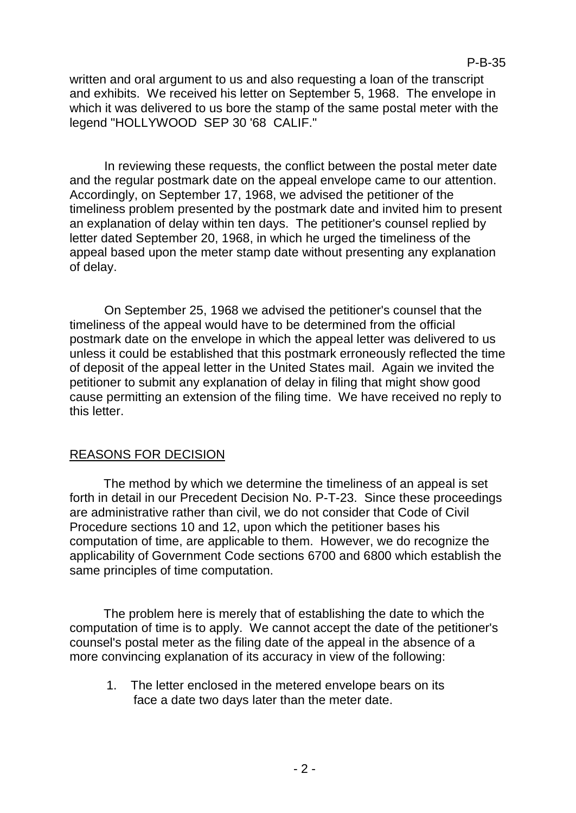written and oral argument to us and also requesting a loan of the transcript and exhibits. We received his letter on September 5, 1968. The envelope in which it was delivered to us bore the stamp of the same postal meter with the legend "HOLLYWOOD SEP 30 '68 CALIF."

In reviewing these requests, the conflict between the postal meter date and the regular postmark date on the appeal envelope came to our attention. Accordingly, on September 17, 1968, we advised the petitioner of the timeliness problem presented by the postmark date and invited him to present an explanation of delay within ten days. The petitioner's counsel replied by letter dated September 20, 1968, in which he urged the timeliness of the appeal based upon the meter stamp date without presenting any explanation of delay.

On September 25, 1968 we advised the petitioner's counsel that the timeliness of the appeal would have to be determined from the official postmark date on the envelope in which the appeal letter was delivered to us unless it could be established that this postmark erroneously reflected the time of deposit of the appeal letter in the United States mail. Again we invited the petitioner to submit any explanation of delay in filing that might show good cause permitting an extension of the filing time. We have received no reply to this letter.

# REASONS FOR DECISION

The method by which we determine the timeliness of an appeal is set forth in detail in our Precedent Decision No. P-T-23. Since these proceedings are administrative rather than civil, we do not consider that Code of Civil Procedure sections 10 and 12, upon which the petitioner bases his computation of time, are applicable to them. However, we do recognize the applicability of Government Code sections 6700 and 6800 which establish the same principles of time computation.

The problem here is merely that of establishing the date to which the computation of time is to apply. We cannot accept the date of the petitioner's counsel's postal meter as the filing date of the appeal in the absence of a more convincing explanation of its accuracy in view of the following:

1. The letter enclosed in the metered envelope bears on its face a date two days later than the meter date.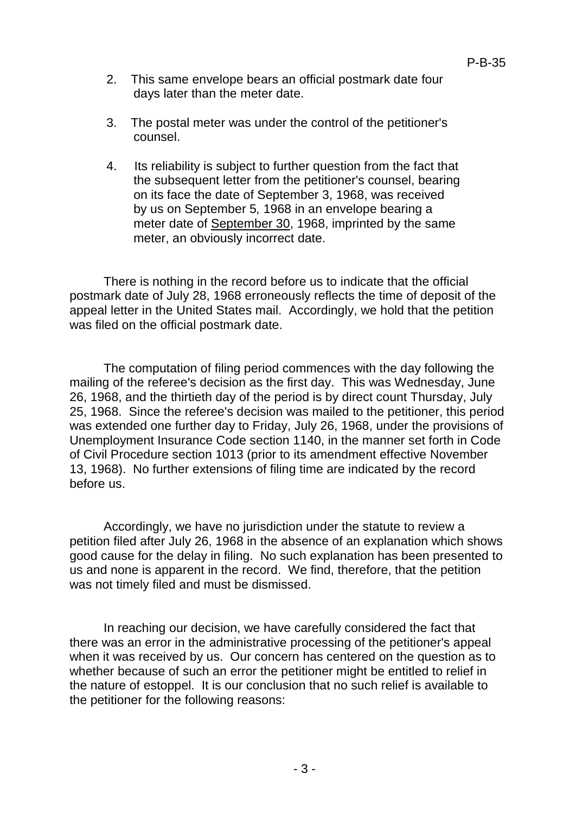- 2. This same envelope bears an official postmark date four days later than the meter date.
- 3. The postal meter was under the control of the petitioner's counsel.
- 4. Its reliability is subject to further question from the fact that the subsequent letter from the petitioner's counsel, bearing on its face the date of September 3, 1968, was received by us on September 5*,* 1968 in an envelope bearing a meter date of September 30, 1968, imprinted by the same meter, an obviously incorrect date.

There is nothing in the record before us to indicate that the official postmark date of July 28, 1968 erroneously reflects the time of deposit of the appeal letter in the United States mail. Accordingly, we hold that the petition was filed on the official postmark date.

The computation of filing period commences with the day following the mailing of the referee's decision as the first day. This was Wednesday, June 26, 1968, and the thirtieth day of the period is by direct count Thursday, July 25, 1968. Since the referee's decision was mailed to the petitioner, this period was extended one further day to Friday, July 26, 1968, under the provisions of Unemployment Insurance Code section 1140, in the manner set forth in Code of Civil Procedure section 1013 (prior to its amendment effective November 13, 1968). No further extensions of filing time are indicated by the record before us.

Accordingly, we have no jurisdiction under the statute to review a petition filed after July 26, 1968 in the absence of an explanation which shows good cause for the delay in filing. No such explanation has been presented to us and none is apparent in the record. We find, therefore, that the petition was not timely filed and must be dismissed.

In reaching our decision, we have carefully considered the fact that there was an error in the administrative processing of the petitioner's appeal when it was received by us. Our concern has centered on the question as to whether because of such an error the petitioner might be entitled to relief in the nature of estoppel. It is our conclusion that no such relief is available to the petitioner for the following reasons: